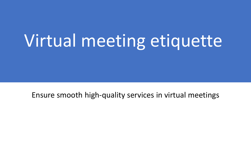# Virtual meeting etiquette

Ensure smooth high-quality services in virtual meetings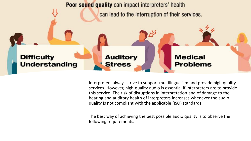

Interpreters always strive to support multilingualism and provide high quality services. However, high-quality audio is essential if interpreters are to provide this service. The risk of disruptions in interpretation and of damage to the hearing and auditory health of interpreters increases whenever the audio quality is not compliant with the applicable (ISO) standards.

The best way of achieving the best possible audio quality is to observe the following requirements.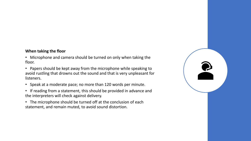#### **When taking the floor**

• Microphone and camera should be turned on only when taking the floor.

• Papers should be kept away from the microphone while speaking to avoid rustling that drowns out the sound and that is very unpleasant for listeners.

- Speak at a moderate pace; no more than 120 words per minute.
- If reading from a statement, this should be provided in advance and the interpreters will check against delivery.
- The microphone should be turned off at the conclusion of each statement, and remain muted, to avoid sound distortion.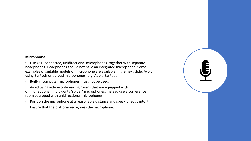#### **Microphone**

• Use USB-connected, unidirectional microphones, together with separate headphones. Headphones should not have an integrated microphone. Some examples of suitable models of microphone are available in the next slide. Avoid using EarPods or earbud microphones (e.g. Apple EarPods).

- Built-in computer microphones must not be used.
- Avoid using video-conferencing rooms that are equipped with omnidirectional, multi-party 'spider' microphones. Instead use a conference room equipped with unidirectional microphones.
- Position the microphone at a reasonable distance and speak directly into it.
- Ensure that the platform recognizes the microphone.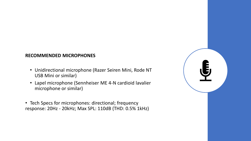### **RECOMMENDED MICROPHONES**

- Unidirectional microphone (Razer Seiren Mini, Rode NT USB Mini or similar)
- Lapel microphone (Sennheiser ME 4-N cardioid lavalier microphone or similar)
- Tech Specs for microphones: directional; frequency response: 20Hz - 20kHz; Max SPL: 110dB (THD: 0.5% 1kHz)

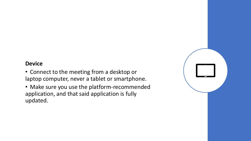# **Device**

- Connect to the meeting from a desktop or laptop computer, never a tablet or smartphone.
- Make sure you use the platform-recommended application, and that said application is fully updated.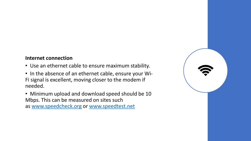## **Internet connection**

- Use an ethernet cable to ensure maximum stability.
- In the absence of an ethernet cable, ensure your Wi-Fi signal is excellent, moving closer to the modem if needed.

• Minimum upload and download speed should be 10 Mbps. This can be measured on sites such as [www.speedcheck.org](http://www.speedcheck.org/) or [www.speedtest.net](https://www.ungeneva.org/en/conference-management/rsi/www.speedtest.net)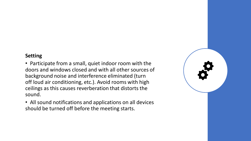## **Setting**

• Participate from a small, quiet indoor room with the doors and windows closed and with all other sources of background noise and interference eliminated (turn off loud air conditioning, etc.). Avoid rooms with high ceilings as this causes reverberation that distorts the sound.

• All sound notifications and applications on all devices should be turned off before the meeting starts.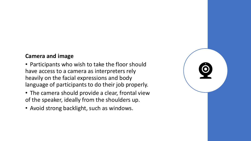# **Camera and image**

- Participants who wish to take the floor should have access to a camera as interpreters rely heavily on the facial expressions and body language of participants to do their job properly.
- The camera should provide a clear, frontal view of the speaker, ideally from the shoulders up.
- Avoid strong backlight, such as windows.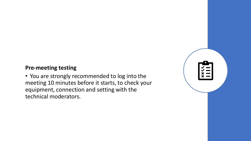# **Pre-meeting testing**

• You are strongly recommended to log into the meeting 10 minutes before it starts, to check your equipment, connection and setting with the technical moderators.

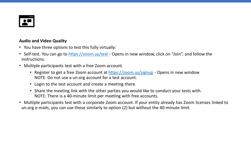

#### **Audio and Video Quality**

- You have three options to test this fully virtually:
- Self-test. You can go to [https://zoom.us/test -](https://zoom.us/test) Opens in new window, click on "Join", and follow the instructions.
- Multiple participants test with a free Zoom account.
	- Register to get a free Zoom account at <https://zoom.us/signup> Opens in new window NOTE: Do not use a un.org account for a test account.
	- Login to the test account and create a meeting there.
	- Share the meeting link with the other parties you would like to conduct your tests with. NOTE: There is a 40-minute limit per meeting with free accounts.
- Multiple participants test with a corporate Zoom account. If your entity already has Zoom licenses linked to un.org e-mails, you can use those similarly to option (2) but without the 40-minute limit.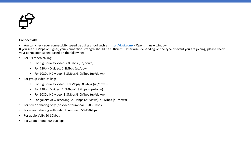

#### **Connectivity**

• You can check your connectivity speed by using a tool such as <https://fast.com/> - Opens in new window

If you see 10 Mbps or higher, your connection strength should be sufficient. Otherwise, depending on the type of event you are joining, please check your connection speed based on the following:

- For 1:1 video calling:
	- For high-quality video: 600kbps (up/down)
	- For 720p HD video: 1.2Mbps (up/down)
	- For 1080p HD video: 3.8Mbps/3.0Mbps (up/down)
- For group video calling:
	- For high-quality video: 1.0 Mbps/600kbps (up/down)
	- For 720p HD video: 2.6Mbps/1.8Mbps (up/down)
	- For 1080p HD video: 3.8Mbps/3.0Mbps (up/down)
	- For gallery view receiving: 2.0Mbps (25 views), 4.0Mbps (49 views)
- For screen sharing only (no video thumbnail): 50-75kbps
- For screen sharing with video thumbnail: 50-150kbps
- For audio VoiP: 60-80kbps
- For Zoom Phone: 60-100kbps